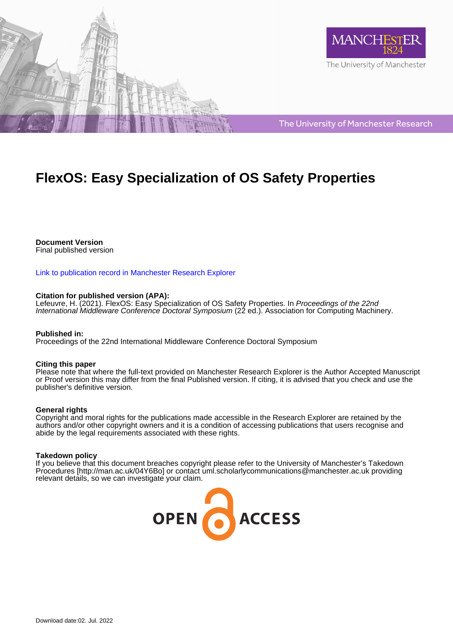



The University of Manchester Research

# **FlexOS: Easy Specialization of OS Safety Properties**

**Document Version** Final published version

[Link to publication record in Manchester Research Explorer](https://www.research.manchester.ac.uk/portal/en/publications/flexos-easy-specialization-of-os-safety-properties(01da858b-095b-4144-b403-3b135ddab71b).html)

## **Citation for published version (APA):**

Lefeuvre, H. (2021). FlexOS: Easy Specialization of OS Safety Properties. In Proceedings of the 22nd International Middleware Conference Doctoral Symposium (22 ed.). Association for Computing Machinery.

## **Published in:**

Proceedings of the 22nd International Middleware Conference Doctoral Symposium

## **Citing this paper**

Please note that where the full-text provided on Manchester Research Explorer is the Author Accepted Manuscript or Proof version this may differ from the final Published version. If citing, it is advised that you check and use the publisher's definitive version.

## **General rights**

Copyright and moral rights for the publications made accessible in the Research Explorer are retained by the authors and/or other copyright owners and it is a condition of accessing publications that users recognise and abide by the legal requirements associated with these rights.

## **Takedown policy**

If you believe that this document breaches copyright please refer to the University of Manchester's Takedown Procedures [http://man.ac.uk/04Y6Bo] or contact uml.scholarlycommunications@manchester.ac.uk providing relevant details, so we can investigate your claim.

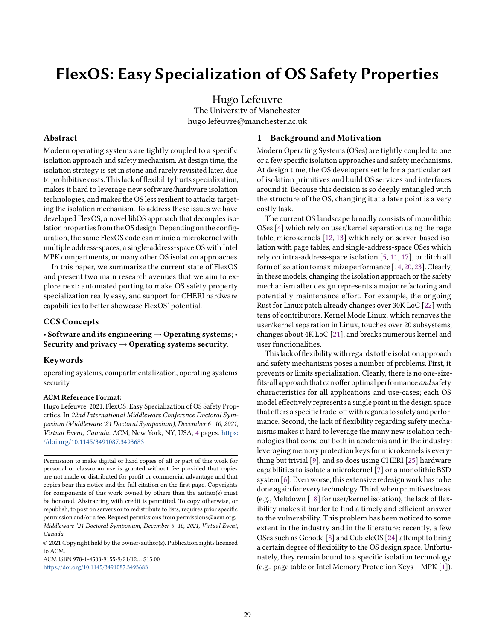## FlexOS: Easy Specialization of OS Safety Properties

Hugo Lefeuvre The University of Manchester hugo.lefeuvre@manchester.ac.uk

#### Abstract

Modern operating systems are tightly coupled to a specific isolation approach and safety mechanism. At design time, the isolation strategy is set in stone and rarely revisited later, due to prohibitive costs. This lack of flexibility hurts specialization, makes it hard to leverage new software/hardware isolation technologies, and makes the OS less resilient to attacks targeting the isolation mechanism. To address these issues we have developed FlexOS, a novel libOS approach that decouples isolation properties from the OS design. Depending on the configuration, the same FlexOS code can mimic a microkernel with multiple address-spaces, a single-address-space OS with Intel MPK compartments, or many other OS isolation approaches.

In this paper, we summarize the current state of FlexOS and present two main research avenues that we aim to explore next: automated porting to make OS safety property specialization really easy, and support for CHERI hardware capabilities to better showcase FlexOS' potential.

#### CCS Concepts

• Software and its engineering  $\rightarrow$  Operating systems; • Security and privacy  $\rightarrow$  Operating systems security.

#### Keywords

operating systems, compartmentalization, operating systems security

#### ACM Reference Format:

Hugo Lefeuvre. 2021. FlexOS: Easy Specialization of OS Safety Properties. In 22nd International Middleware Conference Doctoral Symposium (Middleware '21 Doctoral Symposium), December 6–10, 2021, Virtual Event, Canada. ACM, New York, NY, USA, [4](#page-4-0) pages. [https:](https://doi.org/10.1145/3491087.3493683) [//doi.org/10.1145/3491087.3493683](https://doi.org/10.1145/3491087.3493683)

© 2021 Copyright held by the owner/author(s). Publication rights licensed to ACM.

ACM ISBN 978-1-4503-9155-9/21/12. . . \$15.00 <https://doi.org/10.1145/3491087.3493683>

#### 1 Background and Motivation

Modern Operating Systems (OSes) are tightly coupled to one or a few specific isolation approaches and safety mechanisms. At design time, the OS developers settle for a particular set of isolation primitives and build OS services and interfaces around it. Because this decision is so deeply entangled with the structure of the OS, changing it at a later point is a very costly task.

The current OS landscape broadly consists of monolithic OSes [\[4\]](#page-4-1) which rely on user/kernel separation using the page table, microkernels [\[12,](#page-4-2) [13\]](#page-4-3) which rely on server-based isolation with page tables, and single-address-space OSes which rely on intra-address-space isolation [\[5,](#page-4-4) [11,](#page-4-5) [17\]](#page-4-6), or ditch all form ofisolation tomaximize performance [\[14,](#page-4-7) [20,](#page-4-8) [23\]](#page-4-9).Clearly, in these models, changing the isolation approach or the safety mechanism after design represents a major refactoring and potentially maintenance effort. For example, the ongoing Rust for Linux patch already changes over 30K LoC [\[22\]](#page-4-10) with tens of contributors. Kernel Mode Linux, which removes the user/kernel separation in Linux, touches over 20 subsystems, changes about 4K LoC [\[21\]](#page-4-11), and breaks numerous kernel and user functionalities.

This lack of flexibility with regards to the isolation approach and safety mechanisms poses a number of problems. First, it prevents or limits specialization. Clearly, there is no one-sizefits-all approach that can offer optimal performance and safety characteristics for all applications and use-cases; each OS model effectively represents a single point in the design space that offers a specific trade-off with regards to safety and performance. Second, the lack of flexibility regarding safety mechanisms makes it hard to leverage the many new isolation technologies that come out both in academia and in the industry: leveraging memory protection keys for microkernels is everything but trivial [\[9\]](#page-4-12), and so does using CHERI [\[25\]](#page-4-13) hardware capabilities to isolate a microkernel [\[7\]](#page-4-14) or a monolithic BSD system [\[6\]](#page-4-15). Even worse, this extensive redesign work has to be done again for every technology. Third, when primitives break (e.g., Meltdown [\[18\]](#page-4-16) for user/kernel isolation), the lack of flexibility makes it harder to find a timely and efficient answer to the vulnerability. This problem has been noticed to some extent in the industry and in the literature; recently, a few OSes such as Genode [\[8\]](#page-4-17) and CubicleOS [\[24\]](#page-4-18) attempt to bring a certain degree of flexibility to the OS design space. Unfortunately, they remain bound to a specific isolation technology (e.g., page table or Intel Memory Protection Keys – MPK [\[1\]](#page-4-19)).

Permission to make digital or hard copies of all or part of this work for personal or classroom use is granted without fee provided that copies are not made or distributed for profit or commercial advantage and that copies bear this notice and the full citation on the first page. Copyrights for components of this work owned by others than the author(s) must be honored. Abstracting with credit is permitted. To copy otherwise, or republish, to post on servers or to redistribute to lists, requires prior specific permission and/or a fee. Request permissions from permissions@acm.org. Middleware '21 Doctoral Symposium, December 6–10, 2021, Virtual Event, Canada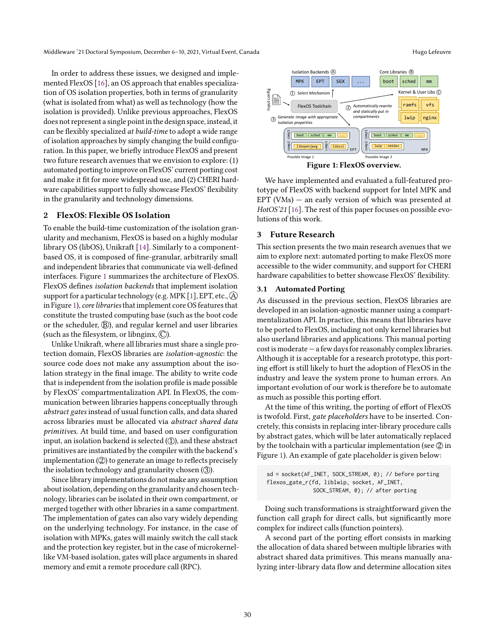Middleware '21 Doctoral Symposium, December 6–10, 2021, Virtual Event, Canada Hugo Lefeuvre Hugo Lefeuvre

In order to address these issues, we designed and implemented FlexOS [\[16\]](#page-4-20), an OS approach that enables specialization of OS isolation properties, both in terms of granularity (what is isolated from what) as well as technology (how the isolation is provided). Unlike previous approaches, FlexOS does not represent a single point in the design space, instead, it can be flexibly specialized at build-time to adopt a wide range of isolation approaches by simply changing the build configuration. In this paper, we briefly introduce FlexOS and present two future research avenues that we envision to explore: (1) automated porting to improve on FlexOS' current porting cost and make it fit for more widespread use, and (2) CHERI hardware capabilities support to fully showcase FlexOS' flexibility in the granularity and technology dimensions.

## 2 FlexOS: Flexible OS Isolation

To enable the build-time customization of the isolation granularity and mechanism, FlexOS is based on a highly modular library OS (libOS), Unikraft [\[14\]](#page-4-7). Similarly to a componentbased OS, it is composed of fine-granular, arbitrarily small and independent libraries that communicate via well-defined interfaces. Figure [1](#page-2-0) summarizes the architecture of FlexOS. FlexOS defines isolation backends that implement isolation support for a particular technology (e.g. MPK [\[1\]](#page-4-19), EPT, etc.,  $\widehat{A}$ ) in Figure [1\)](#page-2-0), core libraries that implement core OS features that constitute the trusted computing base (such as the boot code or the scheduler,  $(\widehat{B})$ , and regular kernel and user libraries (such as the filesystem, or libnginx,  $\mathbb{C}$ ).

Unlike Unikraft, where all libraries must share a single protection domain, FlexOS libraries are isolation-agnostic: the source code does not make any assumption about the isolation strategy in the final image. The ability to write code that is independent from the isolation profile is made possible by FlexOS' compartmentalization API. In FlexOS, the communication between libraries happens conceptually through abstract gates instead of usual function calls, and data shared across libraries must be allocated via abstract shared data primitives. At build time, and based on user configuration input, an isolation backend is selected  $(1)$ , and these abstract primitives are instantiated by the compiler with the backend's implementation  $(2)$  to generate an image to reflects precisely the isolation technology and granularity chosen  $(3)$ .

Since library implementations do not make any assumption aboutisolation, depending on the granularity and chosen technology, libraries can be isolated in their own compartment, or merged together with other libraries in a same compartment. The implementation of gates can also vary widely depending on the underlying technology. For instance, in the case of isolation with MPKs, gates will mainly switch the call stack and the protection key register, but in the case of microkernellike VM-based isolation, gates will place arguments in shared memory and emit a remote procedure call (RPC).

<span id="page-2-0"></span>

We have implemented and evaluated a full-featured prototype of FlexOS with backend support for Intel MPK and EPT (VMs) — an early version of which was presented at HotOS'21 [\[16\]](#page-4-20). The rest of this paper focuses on possible evolutions of this work.

#### 3 Future Research

This section presents the two main research avenues that we aim to explore next: automated porting to make FlexOS more accessible to the wider community, and support for CHERI hardware capabilities to better showcase FlexOS' flexibility.

#### 3.1 Automated Porting

As discussed in the previous section, FlexOS libraries are developed in an isolation-agnostic manner using a compartmentalization API. In practice, this means that libraries have to be ported to FlexOS, including not only kernel libraries but also userland libraries and applications. This manual porting cost is moderate — a few days for reasonably complex libraries. Although it is acceptable for a research prototype, this porting effort is still likely to hurt the adoption of FlexOS in the industry and leave the system prone to human errors. An important evolution of our work is therefore be to automate as much as possible this porting effort.

At the time of this writing, the porting of effort of FlexOS is twofold. First, gate placeholders have to be inserted. Concretely, this consists in replacing inter-library procedure calls by abstract gates, which will be later automatically replaced by the toolchain with a particular implementation (see  $\mathcal{D}$  in Figure [1\)](#page-2-0). An example of gate placeholder is given below:

sd = socket(AF\_INET, SOCK\_STREAM, 0); // before porting flexos\_gate\_r(fd, liblwip, socket, AF\_INET, SOCK\_STREAM, 0); // after porting

Doing such transformations is straightforward given the function call graph for direct calls, but significantly more complex for indirect calls (function pointers).

A second part of the porting effort consists in marking the allocation of data shared between multiple libraries with abstract shared data primitives. This means manually analyzing inter-library data flow and determine allocation sites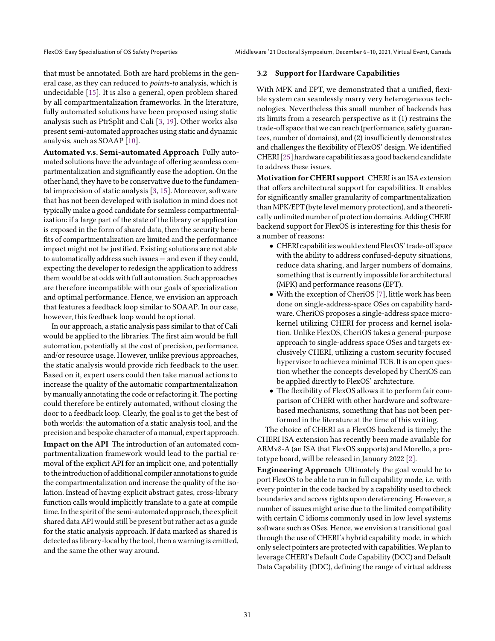that must be annotated. Both are hard problems in the general case, as they can reduced to points-to analysis, which is undecidable [\[15\]](#page-4-21). It is also a general, open problem shared by all compartmentalization frameworks. In the literature, fully automated solutions have been proposed using static analysis such as PtrSplit and Cali [\[3,](#page-4-22) [19\]](#page-4-23). Other works also present semi-automated approaches using static and dynamic analysis, such as SOAAP [\[10\]](#page-4-24).

Automated v.s. Semi-automated Approach Fully automated solutions have the advantage of offering seamless compartmentalization and significantly ease the adoption. On the other hand, they have to be conservative due to the fundamental imprecision of static analysis [\[3,](#page-4-22) [15\]](#page-4-21). Moreover, software that has not been developed with isolation in mind does not typically make a good candidate for seamless compartmentalization: if a large part of the state of the library or application is exposed in the form of shared data, then the security benefits of compartmentalization are limited and the performance impact might not be justified. Existing solutions are not able to automatically address such issues — and even if they could, expecting the developer to redesign the application to address them would be at odds with full automation. Such approaches are therefore incompatible with our goals of specialization and optimal performance. Hence, we envision an approach that features a feedback loop similar to SOAAP. In our case, however, this feedback loop would be optional.

In our approach, a static analysis pass similar to that of Cali would be applied to the libraries. The first aim would be full automation, potentially at the cost of precision, performance, and/or resource usage. However, unlike previous approaches, the static analysis would provide rich feedback to the user. Based on it, expert users could then take manual actions to increase the quality of the automatic compartmentalization by manually annotating the code or refactoring it. The porting could therefore be entirely automated, without closing the door to a feedback loop. Clearly, the goal is to get the best of both worlds: the automation of a static analysis tool, and the precision and bespoke character of a manual, expert approach.

Impact on the API The introduction of an automated compartmentalization framework would lead to the partial removal of the explicit API for an implicit one, and potentially to the introduction of additional compiler annotations to guide the compartmentalization and increase the quality of the isolation. Instead of having explicit abstract gates, cross-library function calls would implicitly translate to a gate at compile time.In the spirit of the semi-automated approach, the explicit shared data API would still be present but rather act as a guide for the static analysis approach. If data marked as shared is detected as library-local by the tool, then a warning is emitted, and the same the other way around.

#### 3.2 Support for Hardware Capabilities

With MPK and EPT, we demonstrated that a unified, flexible system can seamlessly marry very heterogeneous technologies. Nevertheless this small number of backends has its limits from a research perspective as it (1) restrains the trade-off space that we can reach (performance, safety guarantees, number of domains), and (2) insufficiently demonstrates and challenges the flexibility of FlexOS' design. We identified CHERI [\[25\]](#page-4-13) hardware capabilities as a good backend candidate to address these issues.

Motivation for CHERI support CHERI is an ISA extension that offers architectural support for capabilities. It enables for significantly smaller granularity of compartmentalization than MPK/EPT (byte level memory protection), and a theoretically unlimited number of protection domains. Adding CHERI backend support for FlexOS is interesting for this thesis for a number of reasons:

- CHERI capabilitieswould extendFlexOS' trade-off space with the ability to address confused-deputy situations, reduce data sharing, and larger numbers of domains, something that is currently impossible for architectural (MPK) and performance reasons (EPT).
- With the exception of CheriOS [\[7\]](#page-4-14), little work has been done on single-address-space OSes on capability hardware. CheriOS proposes a single-address space microkernel utilizing CHERI for process and kernel isolation. Unlike FlexOS, CheriOS takes a general-purpose approach to single-address space OSes and targets exclusively CHERI, utilizing a custom security focused hypervisor to achieve a minimal TCB. It is an open question whether the concepts developed by CheriOS can be applied directly to FlexOS' architecture.
- The flexibility of FlexOS allows it to perform fair comparison of CHERI with other hardware and softwarebased mechanisms, something that has not been performed in the literature at the time of this writing.

The choice of CHERI as a FlexOS backend is timely; the CHERI ISA extension has recently been made available for ARMv8-A (an ISA that FlexOS supports) and Morello, a prototype board, will be released in January 2022 [\[2\]](#page-4-25).

Engineering Approach Ultimately the goal would be to port FlexOS to be able to run in full capability mode, i.e. with every pointer in the code backed by a capability used to check boundaries and access rights upon dereferencing. However, a number of issues might arise due to the limited compatibility with certain C idioms commonly used in low level systems software such as OSes. Hence, we envision a transitional goal through the use of CHERI's hybrid capability mode, in which only select pointers are protected with capabilities.We plan to leverage CHERI's Default Code Capability (DCC) and Default Data Capability (DDC), defining the range of virtual address